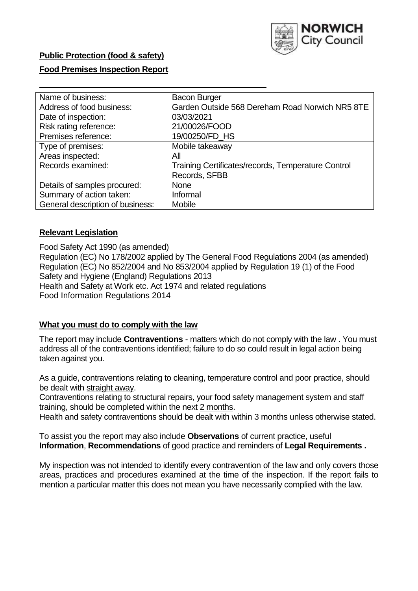

## **Public Protection (food & safety)**

## **Food Premises Inspection Report**

| <b>Bacon Burger</b>                                |
|----------------------------------------------------|
| Garden Outside 568 Dereham Road Norwich NR5 8TE    |
| 03/03/2021                                         |
| 21/00026/FOOD                                      |
| 19/00250/FD_HS                                     |
| Mobile takeaway                                    |
| Αll                                                |
| Training Certificates/records, Temperature Control |
| Records, SFBB                                      |
| <b>None</b>                                        |
| Informal                                           |
| <b>Mobile</b>                                      |
|                                                    |

## **Relevant Legislation**

 Food Safety Act 1990 (as amended) Regulation (EC) No 178/2002 applied by The General Food Regulations 2004 (as amended) Regulation (EC) No 852/2004 and No 853/2004 applied by Regulation 19 (1) of the Food Safety and Hygiene (England) Regulations 2013 Health and Safety at Work etc. Act 1974 and related regulations Food Information Regulations 2014

## **What you must do to comply with the law**

 The report may include **Contraventions** - matters which do not comply with the law . You must address all of the contraventions identified; failure to do so could result in legal action being taken against you.

 As a guide, contraventions relating to cleaning, temperature control and poor practice, should be dealt with straight away.

 Contraventions relating to structural repairs, your food safety management system and staff training, should be completed within the next 2 months.

Health and safety contraventions should be dealt with within 3 months unless otherwise stated.

 To assist you the report may also include **Observations** of current practice, useful **Information**, **Recommendations** of good practice and reminders of **Legal Requirements .** 

 My inspection was not intended to identify every contravention of the law and only covers those areas, practices and procedures examined at the time of the inspection. If the report fails to mention a particular matter this does not mean you have necessarily complied with the law.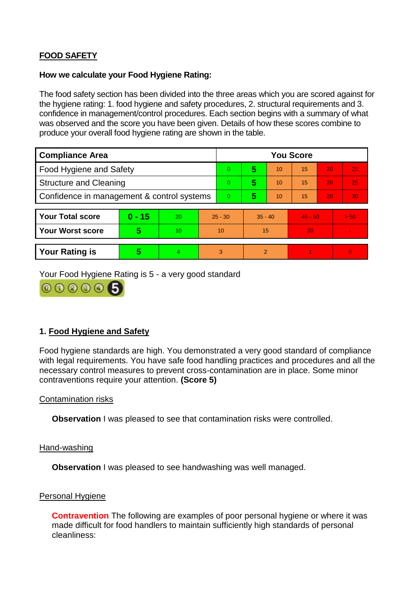# **FOOD SAFETY**

### **How we calculate your Food Hygiene Rating:**

 The food safety section has been divided into the three areas which you are scored against for the hygiene rating: 1. food hygiene and safety procedures, 2. structural requirements and 3. confidence in management/control procedures. Each section begins with a summary of what was observed and the score you have been given. Details of how these scores combine to produce your overall food hygiene rating are shown in the table.

| <b>Compliance Area</b>                     |          |    |           | <b>You Score</b> |                |    |           |    |                |  |
|--------------------------------------------|----------|----|-----------|------------------|----------------|----|-----------|----|----------------|--|
| Food Hygiene and Safety                    |          |    |           | $\overline{0}$   | 5              | 10 | 15        | 20 | 25             |  |
| <b>Structure and Cleaning</b>              |          |    |           | $\Omega$         | 5              | 10 | 15        | 20 | 25             |  |
| Confidence in management & control systems |          |    |           | $\Omega$         | 5              | 10 | 15        | 20 | 30             |  |
|                                            |          |    |           |                  |                |    |           |    |                |  |
| <b>Your Total score</b>                    | $0 - 15$ | 20 | $25 - 30$ |                  | $35 - 40$      |    | $45 - 50$ |    | > 50           |  |
| <b>Your Worst score</b>                    | 5        | 10 | 10        |                  | 15             |    | 20        |    | $\blacksquare$ |  |
|                                            |          |    |           |                  |                |    |           |    |                |  |
| <b>Your Rating is</b>                      | 5        | 4  | 3         |                  | $\overline{2}$ |    |           |    | $\Omega$       |  |

Your Food Hygiene Rating is 5 - a very good standard



# **1. Food Hygiene and Safety**

 with legal requirements. You have safe food handling practices and procedures and all the Food hygiene standards are high. You demonstrated a very good standard of compliance necessary control measures to prevent cross-contamination are in place. Some minor contraventions require your attention. **(Score 5)** 

## Contamination risks

**Observation** I was pleased to see that contamination risks were controlled.

#### Hand-washing

**Observation** I was pleased to see handwashing was well managed.

## Personal Hygiene

 made difficult for food handlers to maintain sufficiently high standards of personal **Contravention** The following are examples of poor personal hygiene or where it was cleanliness: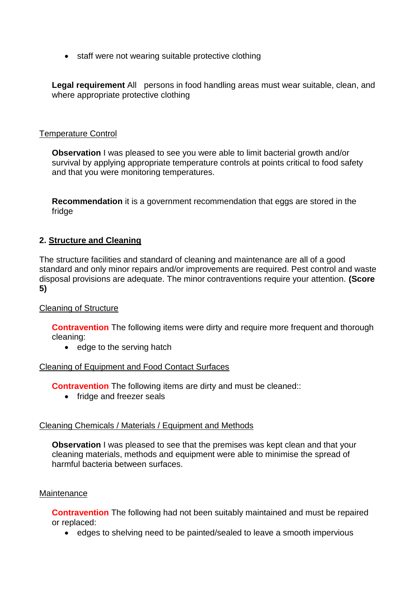• staff were not wearing suitable protective clothing

Legal requirement All persons in food handling areas must wear suitable, clean, and where appropriate protective clothing

## Temperature Control

 survival by applying appropriate temperature controls at points critical to food safety **Observation** I was pleased to see you were able to limit bacterial growth and/or and that you were monitoring temperatures.

**Recommendation** it is a government recommendation that eggs are stored in the fridge

# **2. Structure and Cleaning**

The structure facilities and standard of cleaning and maintenance are all of a good standard and only minor repairs and/or improvements are required. Pest control and waste disposal provisions are adequate. The minor contraventions require your attention. **(Score 5)** 

## Cleaning of Structure

**Contravention** The following items were dirty and require more frequent and thorough cleaning:

• edge to the serving hatch

## Cleaning of Equipment and Food Contact Surfaces

**Contravention** The following items are dirty and must be cleaned::

• fridge and freezer seals

## Cleaning Chemicals / Materials / Equipment and Methods

 cleaning materials, methods and equipment were able to minimise the spread of **Observation** I was pleased to see that the premises was kept clean and that your harmful bacteria between surfaces.

## **Maintenance**

**Contravention** The following had not been suitably maintained and must be repaired or replaced:

• edges to shelving need to be painted/sealed to leave a smooth impervious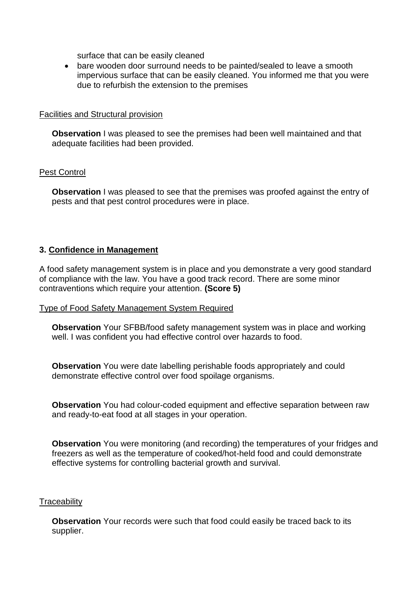surface that can be easily cleaned

 bare wooden door surround needs to be painted/sealed to leave a smooth impervious surface that can be easily cleaned. You informed me that you were due to refurbish the extension to the premises

#### Facilities and Structural provision

 **Observation** I was pleased to see the premises had been well maintained and that adequate facilities had been provided.

#### Pest Control

**Observation** I was pleased to see that the premises was proofed against the entry of pests and that pest control procedures were in place.

#### **3. Confidence in Management**

A food safety management system is in place and you demonstrate a very good standard of compliance with the law. You have a good track record. There are some minor contraventions which require your attention. **(Score 5)** 

#### Type of Food Safety Management System Required

 well. I was confident you had effective control over hazards to food. **Observation** Your SFBB/food safety management system was in place and working

**Observation** You were date labelling perishable foods appropriately and could demonstrate effective control over food spoilage organisms.

**Observation** You had colour-coded equipment and effective separation between raw and ready-to-eat food at all stages in your operation.

**Observation** You were monitoring (and recording) the temperatures of your fridges and freezers as well as the temperature of cooked/hot-held food and could demonstrate effective systems for controlling bacterial growth and survival.

#### **Traceability**

**Observation** Your records were such that food could easily be traced back to its supplier.